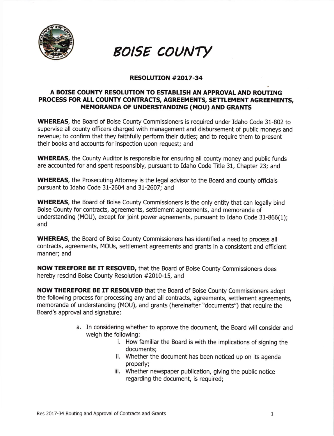

## **BOISE COUNTY**

## RESOLUTTON #2017-34

## A BOISE COUNTY RESOLUTION TO ESTABLISH AN APPROVAL AND ROUTING PROCESS FOR ALL COUNTY CONTRACTS, AGREEMENTS, SETTLEMENT AGREEMENTS, MEMORANDA OF UNDERSTANDING (MOU) AND GRANTS

WHEREAS, the Board of Boise County Commissioners is required under Idaho Code 31-802 to supervise all county officers charged with management and disbursement of public moneys and revenue; to confirm that they faithfully perform their duties; and to require them to present their books and accounts for inspection upon request; and

WHEREAS, the County Auditor is responsible for ensuring all county money and public funds are accounted for and spent responsibly, pursuant to Idaho Code Title 31, Chapter 23; and

WHEREAS, the Prosecuting Attorney is the legal advisor to the Board and county officials pursuant to Idaho Code 31-2604 and 31-2607; and

WHEREAS, the Board of Boise County Commissioners is the only entity that can legally bind Boise County for contracts, agreements, settlement agreements, and memoranda of understanding (MOU), except for joint power agreements, pursuant to Idaho Code 31-866(1); and

WHEREAS, the Board of Boise County Commissioners has identified a need to process all contracts, agreements, MOUs, settlement agreements and grants in a consistent and efficient manner; and

NOW TEREFORE BE IT RESOVED, that the Board of Boise County Commissioners does hereby rescind Boise County Resolution #2010-15, and

NOW THEREFORE BE IT RESOLVED that the Board of Boise County Commisstoners adopt the following process for processing any and all contracts, agreements, settlement agreements, memoranda of understanding (MOU), and grants (hereinafter "documents") that require the Board's approval and signature:

- a. In considering whether to approve the document, the Board will consider and weigh the following:
	- i. How familiar the Board is with the implications of signing the documents;
	- ii. Whether the document has been noticed up on its agenda properly;
	- iii. Whether newspaper publication, giving the public notice regarding the document, is required;